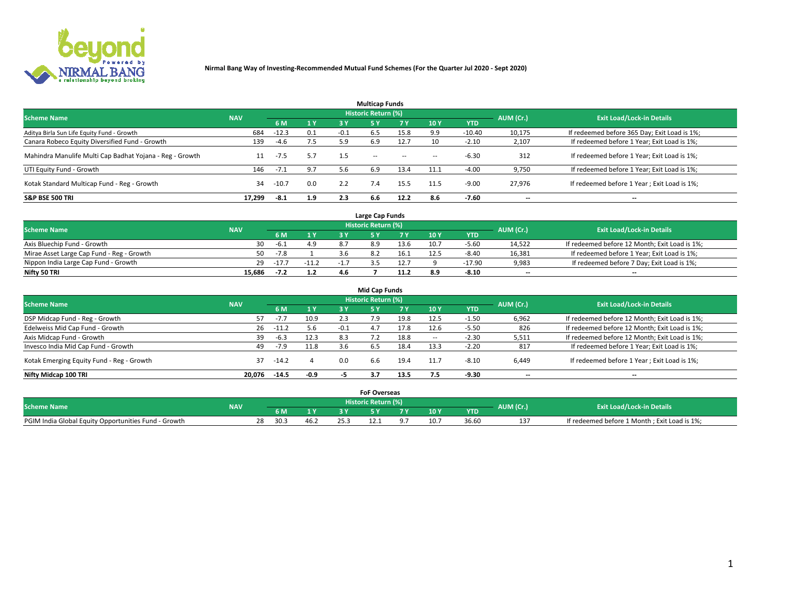

|                                                          |            |         |     |        | <b>Multicap Funds</b> |           |                          |            |           |                                              |
|----------------------------------------------------------|------------|---------|-----|--------|-----------------------|-----------|--------------------------|------------|-----------|----------------------------------------------|
| <b>Scheme Name</b>                                       | <b>NAV</b> |         |     |        | Historic Return (%)   |           |                          |            | AUM (Cr.) | <b>Exit Load/Lock-in Details</b>             |
|                                                          |            | 6 M     | 1 Y | 3 Y    | <b>5Y</b>             | <b>7Y</b> | 10Y                      | <b>YTD</b> |           |                                              |
| Aditya Birla Sun Life Equity Fund - Growth               | 684        | $-12.3$ | 0.1 | $-0.1$ | 6.5                   | 15.8      | 9.9                      | $-10.40$   | 10,175    | If redeemed before 365 Day; Exit Load is 1%; |
| Canara Robeco Equity Diversified Fund - Growth           | 139        | $-4.6$  | 7.5 | 5.9    | 6.9                   | 12.7      | 10                       | $-2.10$    | 2,107     | If redeemed before 1 Year; Exit Load is 1%;  |
| Mahindra Manulife Multi Cap Badhat Yojana - Reg - Growth | 11         | $-7.5$  | 5.7 | 1.5    | $\sim$ $-$            | $\sim$    | $\overline{\phantom{a}}$ | $-6.30$    | 312       | If redeemed before 1 Year; Exit Load is 1%;  |
| UTI Equity Fund - Growth                                 | 146        | $-7.1$  | 9.7 | 5.6    | 6.9                   | 13.4      | 11.1                     | $-4.00$    | 9,750     | If redeemed before 1 Year; Exit Load is 1%;  |
| Kotak Standard Multicap Fund - Reg - Growth              | 34         | $-10.7$ | 0.0 | 2.2    |                       | 15.5      | 11.5                     | $-9.00$    | 27.976    | If redeemed before 1 Year; Exit Load is 1%;  |
| <b>S&amp;P BSE 500 TRI</b>                               | 17.299     | -8.1    | 1.9 | 2.3    | 6.6                   | 12.2      | 8.6                      | $-7.60$    | --        | $- -$                                        |

|                                           |            |         |                |     | Large Cap Funds     |      |      |            |                          |                                               |
|-------------------------------------------|------------|---------|----------------|-----|---------------------|------|------|------------|--------------------------|-----------------------------------------------|
| <b>Scheme Name</b>                        | <b>NAV</b> |         |                |     | Historic Return (%) |      |      |            | AUM (Cr.)                | <b>Exit Load/Lock-in Details</b>              |
|                                           |            | 6 M     | 4 <sub>Y</sub> |     |                     |      | 10 Y | <b>YTD</b> |                          |                                               |
| Axis Bluechip Fund - Growth               | 30.        | $-6.1$  | 4.9            |     |                     | 13.6 | 10.7 | $-5.60$    | 14,522                   | If redeemed before 12 Month; Exit Load is 1%; |
| Mirae Asset Large Cap Fund - Reg - Growth | 50         | $-7.8$  |                |     |                     | 16.1 | 12.5 | $-8.40$    | 16,381                   | If redeemed before 1 Year; Exit Load is 1%;   |
| Nippon India Large Cap Fund - Growth      | 29         | $-17.7$ | $-11.2$        | - 1 |                     | 12.7 |      | $-17.90$   | 9,983                    | If redeemed before 7 Day; Exit Load is 1%;    |
| Nifty 50 TRI                              | 15.686     | $-7.2$  | 1.2            | 4.6 |                     |      |      | $-8.10$    | $\overline{\phantom{a}}$ | $- -$                                         |

| <b>Mid Cap Funds</b>                      |            |         |           |        |                            |       |            |            |                          |                                               |  |  |  |
|-------------------------------------------|------------|---------|-----------|--------|----------------------------|-------|------------|------------|--------------------------|-----------------------------------------------|--|--|--|
| <b>Scheme Name</b>                        | <b>NAV</b> |         |           |        | <b>Historic Return (%)</b> |       |            |            | AUM (Cr.)                | <b>Exit Load/Lock-in Details</b>              |  |  |  |
|                                           |            | 6 M     | <b>1Y</b> | 3 Y    |                            | 7 V . | <b>10Y</b> | <b>YTD</b> |                          |                                               |  |  |  |
| DSP Midcap Fund - Reg - Growth            |            | $-7.7$  | 10.9      | 2.3    | 7.9                        | 19.8  | 12.5       | $-1.50$    | 6,962                    | If redeemed before 12 Month; Exit Load is 1%; |  |  |  |
| Edelweiss Mid Cap Fund - Growth           | 26         | $-11.2$ | 5.6       | $-0.1$ | 4.7                        | 17.8  | 12.6       | $-5.50$    | 826                      | If redeemed before 12 Month; Exit Load is 1%; |  |  |  |
| Axis Midcap Fund - Growth                 | 39         | $-6.3$  | 12.3      | 8.3    |                            | 18.8  |            | $-2.30$    | 5,511                    | If redeemed before 12 Month; Exit Load is 1%; |  |  |  |
| Invesco India Mid Cap Fund - Growth       | 49         | $-7.9$  | 11.8      | 3.6    | 6.5                        | 18.4  | 13.3       | $-2.20$    | 817                      | If redeemed before 1 Year; Exit Load is 1%;   |  |  |  |
| Kotak Emerging Equity Fund - Reg - Growth | 37         | -14.2   |           | 0.0    | 6.6                        | 19.4  | 11.7       | $-8.10$    | 6,449                    | If redeemed before 1 Year; Exit Load is 1%;   |  |  |  |
| Nifty Midcap 100 TRI                      | 20.076     | $-14.5$ | $-0.9$    | - 7    |                            | 13.5  | 1.5        | -9.30      | $\overline{\phantom{a}}$ | $\overline{\phantom{a}}$                      |  |  |  |

|                                                      |            |            |      |      | <b>FoF Overseas</b>        |     |            |           |                                              |
|------------------------------------------------------|------------|------------|------|------|----------------------------|-----|------------|-----------|----------------------------------------------|
| <b>Scheme Name</b>                                   | <b>NAV</b> |            |      |      | <b>Historic Return (%)</b> |     |            | AUM (Cr.) | <b>Exit Load/Lock-in Details</b>             |
|                                                      |            | 6 M        |      |      |                            | 10Y | <b>YTD</b> |           |                                              |
| PGIM India Global Equity Opportunities Fund - Growth |            | 28<br>30.3 | ے:46 | 25.3 |                            |     | 36.60      |           | If redeemed before 1 Month; Exit Load is 1%; |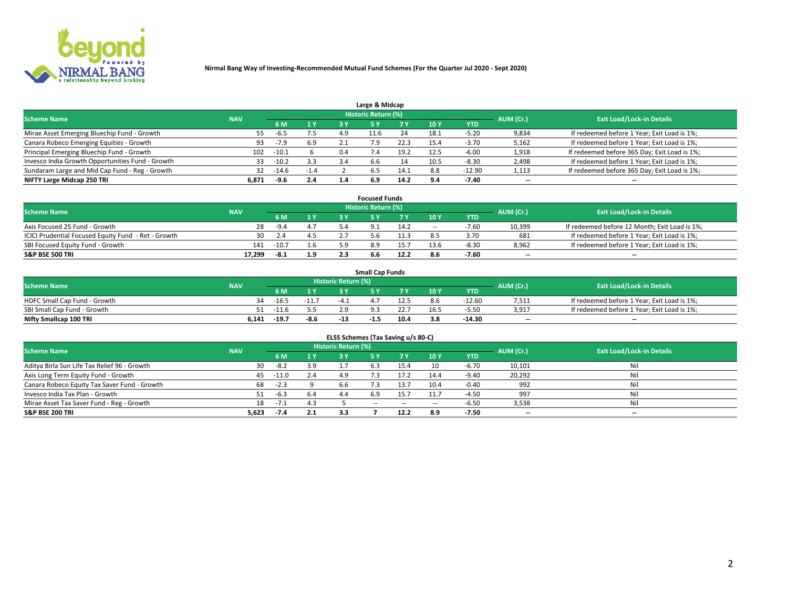

| Large & Midcap                                   |            |         |        |     |                     |      |      |            |                          |                                              |  |  |  |  |
|--------------------------------------------------|------------|---------|--------|-----|---------------------|------|------|------------|--------------------------|----------------------------------------------|--|--|--|--|
| <b>Scheme Name</b>                               | <b>NAV</b> |         |        |     | Historic Return (%) |      |      |            | AUM (Cr.)                | <b>Exit Load/Lock-in Details</b>             |  |  |  |  |
|                                                  |            | 6 M     | 1 Y    | 3 Y |                     | 7 V  | 10Y  | <b>YTD</b> |                          |                                              |  |  |  |  |
| Mirae Asset Emerging Bluechip Fund - Growth      | 55         | -6.5    | 7.5    | 4.9 | $-1.6$              | 24   | 18.1 | -5.20      | 9,834                    | If redeemed before 1 Year; Exit Load is 1%;  |  |  |  |  |
| Canara Robeco Emerging Equities - Growth         | 93         | $-7.9$  | 6.9    |     |                     | 22.3 | 15.4 | $-3.70$    | 5,162                    | If redeemed before 1 Year; Exit Load is 1%;  |  |  |  |  |
| Principal Emerging Bluechip Fund - Growth        | 102        | $-10.1$ |        | 0.4 | 7.4                 | 19.2 | 12.5 | $-6.00$    | 1,918                    | If redeemed before 365 Day; Exit Load is 1%; |  |  |  |  |
| Invesco India Growth Opportunities Fund - Growth | 33         | $-10.2$ | 3.3    | 3.4 | 6.6                 | 14   | 10.5 | $-8.30$    | 2,498                    | If redeemed before 1 Year; Exit Load is 1%;  |  |  |  |  |
| Sundaram Large and Mid Cap Fund - Reg - Growth   | 32         | $-14.6$ | $-1.4$ |     | 6.5                 | 14.1 | 8.8  | $-12.90$   | 1,113                    | If redeemed before 365 Day; Exit Load is 1%; |  |  |  |  |
| NIFTY Large Midcap 250 TRI                       | 6.871      | -9.6    | 2.4    |     | 6.9                 | 14.2 | о л  | -7.40      | $\overline{\phantom{a}}$ | $- -$                                        |  |  |  |  |

|                                                     |            |         |     | <b>Focused Funds</b>       |      |        |            |                          |                                               |
|-----------------------------------------------------|------------|---------|-----|----------------------------|------|--------|------------|--------------------------|-----------------------------------------------|
| <b>Scheme Name</b>                                  | <b>NAV</b> |         |     | <b>Historic Return (%)</b> |      |        |            | AUM (Cr.)                | <b>Exit Load/Lock-in Details</b>              |
|                                                     |            | 6 M     | 1 Y |                            |      | 10 Y   | <b>YTD</b> |                          |                                               |
| Axis Focused 25 Fund - Growth                       | 28         | $-9.4$  | 4.7 |                            | 14.2 | $\sim$ | $-7.60$    | 10,399                   | If redeemed before 12 Month; Exit Load is 1%; |
| ICICI Prudential Focused Equity Fund - Ret - Growth | 30         | 2.4     | 4.5 |                            | 1.3  |        | 3.70       | 681                      | If redeemed before 1 Year; Exit Load is 1%;   |
| SBI Focused Equity Fund - Growth                    | 141        | $-10.7$ | 1.6 |                            |      |        | $-8.30$    | 8,962                    | If redeemed before 1 Year; Exit Load is 1%;   |
| S&P BSE 500 TRI                                     | 17.299     | $-8.1$  | 1.9 |                            | 12.2 |        | $-7.60$    | $\overline{\phantom{a}}$ | $- -$                                         |

| <b>Small Cap Funds</b>       |            |         |         |                     |      |  |                 |                                  |       |                                             |  |  |  |
|------------------------------|------------|---------|---------|---------------------|------|--|-----------------|----------------------------------|-------|---------------------------------------------|--|--|--|
| <b>Scheme Name</b>           | <b>NAV</b> |         |         | Historic Return (%) |      |  | AUM (Cr.)       | <b>Exit Load/Lock-in Details</b> |       |                                             |  |  |  |
|                              |            | 6 M     | 1 Y     |                     |      |  | 10 <sub>Y</sub> | <b>YTD</b>                       |       |                                             |  |  |  |
| HDFC Small Cap Fund - Growth | 34         | $-16.5$ | $-11.7$ |                     |      |  | 8.6             | $-12.60$                         | 7,511 | If redeemed before 1 Year; Exit Load is 1%; |  |  |  |
| SBI Small Cap Fund - Growth  |            | -11.6   |         |                     |      |  |                 | $-5.50$                          | 3.917 | If redeemed before 1 Year; Exit Load is 1%; |  |  |  |
| Nifty Smallcap 100 TRI       | 6.141      | $-19.7$ | $-8.6$  | -14                 | -1.5 |  |                 | -14.30                           | $- -$ | $- -$                                       |  |  |  |

| ELSS Schemes (Tax Saving u/s 80-C)           |            |        |     |                            |           |        |                          |            |                          |                                  |  |  |  |
|----------------------------------------------|------------|--------|-----|----------------------------|-----------|--------|--------------------------|------------|--------------------------|----------------------------------|--|--|--|
| <b>Scheme Name</b>                           | <b>NAV</b> |        |     | <b>Historic Return (%)</b> |           |        |                          |            | AUM (Cr.)                | <b>Exit Load/Lock-in Details</b> |  |  |  |
|                                              |            | - 6 M  | 1Y  | 3 Y                        | <b>5Y</b> | 7 Y    | 10 Y                     | <b>YTD</b> |                          |                                  |  |  |  |
| Aditya Birla Sun Life Tax Relief 96 - Growth | 30         | $-8.2$ | 3.9 |                            |           | 15.4   | 10                       | $-6.70$    | 10,101                   | Nil                              |  |  |  |
| Axis Long Term Equity Fund - Growth          | 45         | -11.0  | 2.4 | 4.9                        |           | 17.2   | 14.4                     | $-9.40$    | 20,292                   | Nil                              |  |  |  |
| Canara Robeco Equity Tax Saver Fund - Growth | 68         | $-2.3$ |     | 6.6                        |           | 13.7   | 10.4                     | $-0.40$    | 992                      | Nil                              |  |  |  |
| Invesco India Tax Plan - Growth              |            | $-6.3$ | 6.4 | 4.4                        | 6.9       | 15.7   | 11.7                     | $-4.50$    | 997                      | Nil                              |  |  |  |
| Mirae Asset Tax Saver Fund - Reg - Growth    | 18         | $-7.1$ | 4.3 |                            | $- -$     | $\sim$ | $\overline{\phantom{a}}$ | $-6.50$    | 3,538                    | Nil                              |  |  |  |
| S&P BSE 200 TRI                              | 5,623      | $-7.4$ | 2.1 | 3.3                        |           | 12.2   | 8.9                      | $-7.50$    | $\overline{\phantom{a}}$ | $- -$                            |  |  |  |

# 2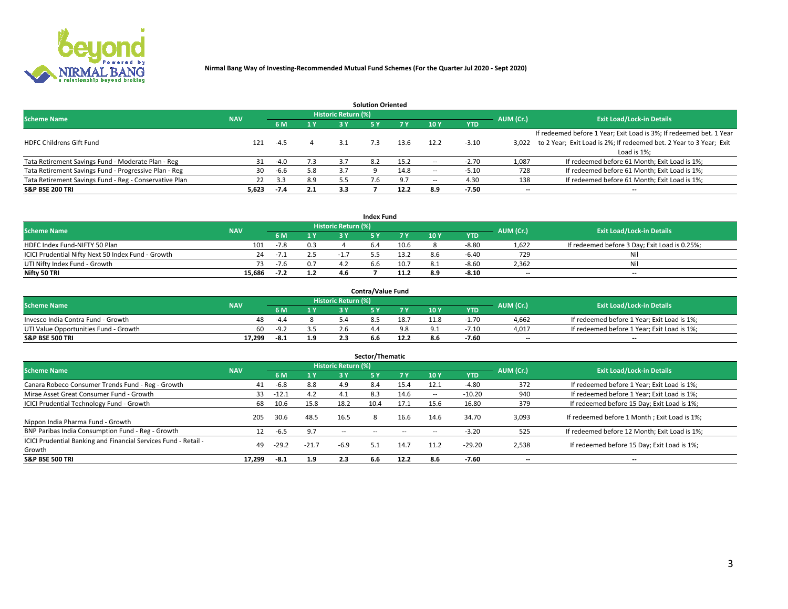

|                                                        |            |            |     |                            | <b>Solution Oriented</b> |      |                          |            |                          |                                                                     |
|--------------------------------------------------------|------------|------------|-----|----------------------------|--------------------------|------|--------------------------|------------|--------------------------|---------------------------------------------------------------------|
| <b>Scheme Name</b>                                     | <b>NAV</b> |            |     | <b>Historic Return (%)</b> |                          |      |                          |            | AUM (Cr.)                | <b>Exit Load/Lock-in Details</b>                                    |
|                                                        |            | <b>6 M</b> | 1 Y | 3 Y                        |                          |      | 10Y                      | <b>YTD</b> |                          |                                                                     |
|                                                        |            |            |     |                            |                          |      |                          |            |                          | If redeemed before 1 Year; Exit Load is 3%; If redeemed bet. 1 Year |
| <b>HDFC Childrens Gift Fund</b>                        | 121        | $-4.5$     |     |                            | 7.3                      | 13.6 | 12.2                     | $-3.10$    | 3.022                    | to 2 Year; Exit Load is 2%; If redeemed bet. 2 Year to 3 Year; Exit |
|                                                        |            |            |     |                            |                          |      |                          |            |                          | Load is 1%;                                                         |
| Tata Retirement Savings Fund - Moderate Plan - Reg     | 31         | $-4.0$     | 7.3 | 3.7                        | 8.2                      | 15.2 | --                       | $-2.70$    | 1,087                    | If redeemed before 61 Month; Exit Load is 1%;                       |
| Tata Retirement Savings Fund - Progressive Plan - Reg  | 30         | -6.6       | 5.8 | 3.7                        |                          | 14.8 | $\overline{\phantom{a}}$ | $-5.10$    | 728                      | If redeemed before 61 Month; Exit Load is 1%;                       |
| Tata Retirement Savings Fund - Reg - Conservative Plan | 22         | 3.3        | 8.9 | 5.5                        |                          |      | --                       | 4.30       | 138                      | If redeemed before 61 Month; Exit Load is 1%;                       |
| S&P BSE 200 TRI                                        | 5,623      | $-7.4$     | 2.1 | 3.3                        |                          | 12.2 | 8.9                      | $-7.50$    | $\overline{\phantom{a}}$ | $- -$                                                               |

|                                                    |                                                                |        |     |     | <b>Index Fund</b> |      |      |            |                          |                                               |  |  |  |
|----------------------------------------------------|----------------------------------------------------------------|--------|-----|-----|-------------------|------|------|------------|--------------------------|-----------------------------------------------|--|--|--|
|                                                    | <b>Historic Return (%)</b><br><b>Scheme Name</b><br><b>NAV</b> |        |     |     |                   |      |      |            |                          |                                               |  |  |  |
|                                                    |                                                                |        | 4V  | 2 V |                   | 7 V  | 10 Y | <b>YTD</b> | AUM (Cr.)                | <b>Exit Load/Lock-in Details</b>              |  |  |  |
| HDFC Index Fund-NIFTY 50 Plan                      | 101                                                            | $-7.8$ | 0.3 |     |                   | 10.6 |      | $-8.80$    | 1,622                    | If redeemed before 3 Day; Exit Load is 0.25%; |  |  |  |
| ICICI Prudential Nifty Next 50 Index Fund - Growth | 24                                                             | $-1.1$ | 2.5 |     |                   | 13.2 |      | $-6.40$    | 729                      | Nil                                           |  |  |  |
| UTI Nifty Index Fund - Growth                      | 73.                                                            | $-7.6$ |     |     | n.h               | 10.7 |      | $-8.60$    | 2,362                    | Nil                                           |  |  |  |
| Nifty 50 TRI                                       | 15.686                                                         | $-7.2$ | 1.2 | 46  |                   |      | 8.9  | $-8.10$    | $\overline{\phantom{a}}$ | $- -$                                         |  |  |  |

|                                       |            |        |     |                            | <b>Contra/Value Fund</b> |      |      |            |                          |                                             |
|---------------------------------------|------------|--------|-----|----------------------------|--------------------------|------|------|------------|--------------------------|---------------------------------------------|
| <b>Scheme Name</b>                    | <b>NAV</b> |        |     | <b>Historic Return (%)</b> |                          |      |      |            | AUM (Cr.)                | <b>Exit Load/Lock-in Details</b>            |
|                                       |            |        | 1 V |                            |                          | 7 V  | 10Y  | <b>YTD</b> |                          |                                             |
| Invesco India Contra Fund - Growth    | 48         | $-4.4$ |     |                            |                          | 18.7 | 11.8 | $-1.70$    | 4,662                    | If redeemed before 1 Year; Exit Load is 1%; |
| UTI Value Opportunities Fund - Growth | 60.        | $-9.2$ |     |                            |                          |      |      | -7.10      | 4,017                    | If redeemed before 1 Year; Exit Load is 1%; |
| <b>S&amp;P BSE 500 TRI</b>            | 17.299     | -8.1   | 1.9 |                            | n.n                      |      |      | $-7.60$    | $\overline{\phantom{a}}$ | $- -$                                       |

| Sector/Thematic                                                           |            |         |         |                            |           |           |                          |            |           |                                               |  |  |  |  |
|---------------------------------------------------------------------------|------------|---------|---------|----------------------------|-----------|-----------|--------------------------|------------|-----------|-----------------------------------------------|--|--|--|--|
| <b>Scheme Name</b>                                                        | <b>NAV</b> |         |         | <b>Historic Return (%)</b> |           |           |                          |            | AUM (Cr.) | <b>Exit Load/Lock-in Details</b>              |  |  |  |  |
|                                                                           |            | 6 M     | 1V      | 3 Y                        | <b>5Y</b> | <b>7Y</b> | 10Y                      | <b>YTD</b> |           |                                               |  |  |  |  |
| Canara Robeco Consumer Trends Fund - Reg - Growth                         | 41         | $-6.8$  | 8.8     | 4.9                        | 8.4       | 15.4      | 12.1                     | $-4.80$    | 372       | If redeemed before 1 Year; Exit Load is 1%;   |  |  |  |  |
| Mirae Asset Great Consumer Fund - Growth                                  | 33         | $-12.1$ | 4.2     | 4.1                        | 8.3       | 14.6      | $\overline{\phantom{a}}$ | $-10.20$   | 940       | If redeemed before 1 Year; Exit Load is 1%;   |  |  |  |  |
| <b>ICICI Prudential Technology Fund - Growth</b>                          | 68         | 10.6    | 15.8    | 18.2                       | 10.4      | 17.1      | 15.6                     | 16.80      | 379       | If redeemed before 15 Day; Exit Load is 1%;   |  |  |  |  |
| Nippon India Pharma Fund - Growth                                         | 205        | 30.6    | 48.5    | 16.5                       | 8         | 16.6      | 14.6                     | 34.70      | 3,093     | If redeemed before 1 Month; Exit Load is 1%;  |  |  |  |  |
| BNP Paribas India Consumption Fund - Reg - Growth                         | 12         | $-6.5$  | 9.7     | --                         |           |           | -                        | $-3.20$    | 525       | If redeemed before 12 Month; Exit Load is 1%; |  |  |  |  |
| ICICI Prudential Banking and Financial Services Fund - Retail -<br>Growth | 49         | $-29.2$ | $-21.7$ | -6.9                       |           | 14.7      | 11.2                     | $-29.20$   | 2,538     | If redeemed before 15 Day; Exit Load is 1%;   |  |  |  |  |
| <b>S&amp;P BSE 500 TRI</b>                                                | 17,299     | $-8.1$  | 1.9     | 2.3                        | 6.6       | 12.2      | 8.6                      | $-7.60$    |           | --                                            |  |  |  |  |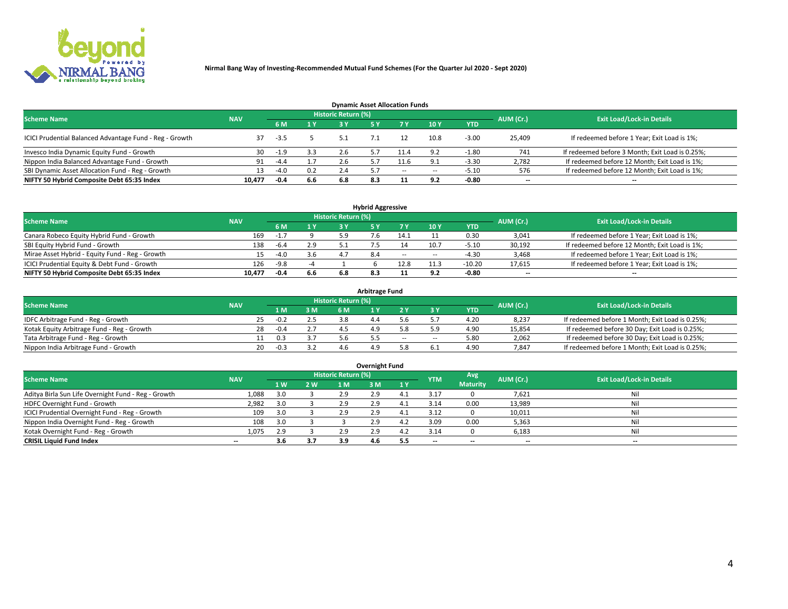

| <b>Dynamic Asset Allocation Funds</b>                                                                           |        |        |     |     |     |        |        |            |                          |                                                 |  |  |  |  |
|-----------------------------------------------------------------------------------------------------------------|--------|--------|-----|-----|-----|--------|--------|------------|--------------------------|-------------------------------------------------|--|--|--|--|
| <b>Historic Return (%)</b><br><b>Exit Load/Lock-in Details</b><br>AUM (Cr.)<br><b>Scheme Name</b><br><b>NAV</b> |        |        |     |     |     |        |        |            |                          |                                                 |  |  |  |  |
|                                                                                                                 |        |        | 1 Y | ا ? |     |        | 10Y    | <b>YTD</b> |                          |                                                 |  |  |  |  |
| ICICI Prudential Balanced Advantage Fund - Reg - Growth                                                         |        | -3.5   |     |     |     |        | 10.8   | $-3.00$    | 25,409                   | If redeemed before 1 Year; Exit Load is 1%;     |  |  |  |  |
| Invesco India Dynamic Equity Fund - Growth                                                                      | 30     | $-1.9$ | 3.3 |     |     |        | ΩC     | $-1.80$    | 741                      | If redeemed before 3 Month; Exit Load is 0.25%; |  |  |  |  |
| Nippon India Balanced Advantage Fund - Growth                                                                   | 91     | $-4.4$ |     |     |     |        |        | $-3.30$    | 2,782                    | If redeemed before 12 Month; Exit Load is 1%;   |  |  |  |  |
| SBI Dynamic Asset Allocation Fund - Reg - Growth                                                                |        | $-4.0$ | 0.2 | 2.4 |     | $\sim$ | $\sim$ | -5.10      | 576                      | If redeemed before 12 Month; Exit Load is 1%;   |  |  |  |  |
| NIFTY 50 Hybrid Composite Debt 65:35 Index                                                                      | 10.477 | -0.4   | 6.6 | 6.8 | 8.3 |        | 9.2    | $-0.80$    | $\overline{\phantom{a}}$ | $- -$                                           |  |  |  |  |

| <b>Hybrid Aggressive</b>                        |            |        |     |                            |      |        |      |            |                          |                                               |  |  |  |  |
|-------------------------------------------------|------------|--------|-----|----------------------------|------|--------|------|------------|--------------------------|-----------------------------------------------|--|--|--|--|
| <b>Scheme Name</b>                              | <b>NAV</b> |        |     | <b>Historic Return (%)</b> |      |        |      |            | AUM (Cr.)                | <b>Exit Load/Lock-in Details</b>              |  |  |  |  |
|                                                 |            | 6 M    | 1 Y | 3 ۷                        |      | 7 V    | 10Y  | <b>YTD</b> |                          |                                               |  |  |  |  |
| Canara Robeco Equity Hybrid Fund - Growth       | 169        |        |     | 5.9                        |      | 14.    |      | 0.30       | 3,041                    | If redeemed before 1 Year; Exit Load is 1%;   |  |  |  |  |
| SBI Equity Hybrid Fund - Growth                 | 138        | -6.4   | 2.9 |                            |      |        | 10.7 | $-5.10$    | 30,192                   | If redeemed before 12 Month; Exit Load is 1%; |  |  |  |  |
| Mirae Asset Hybrid - Equity Fund - Reg - Growth | 15         | $-4.0$ | 3.6 |                            | -8.4 | $\sim$ | --   | -4.30      | 3,468                    | If redeemed before 1 Year; Exit Load is 1%;   |  |  |  |  |
| ICICI Prudential Equity & Debt Fund - Growth    | 126        | $-9.8$ |     |                            |      | 12.8   |      | $-10.20$   | 17,615                   | If redeemed before 1 Year; Exit Load is 1%;   |  |  |  |  |
| NIFTY 50 Hybrid Composite Debt 65:35 Index      | 10.477     | -0.4   | 6.6 | 6.8                        |      |        |      | -0.80      | $\overline{\phantom{a}}$ | $- -$                                         |  |  |  |  |

| <b>Arbitrage Fund</b>                      |            |        |     |                     |  |       |     |            |           |                                                 |  |  |  |  |
|--------------------------------------------|------------|--------|-----|---------------------|--|-------|-----|------------|-----------|-------------------------------------------------|--|--|--|--|
| <b>Scheme Name</b>                         | <b>NAV</b> |        |     | Historic Return (%) |  |       |     |            | AUM (Cr.) | <b>Exit Load/Lock-in Details</b>                |  |  |  |  |
|                                            |            | 1 M.   | 3 M | 6 M                 |  |       |     | <b>YTD</b> |           |                                                 |  |  |  |  |
| IDFC Arbitrage Fund - Reg - Growth         |            | $-0.2$ |     |                     |  |       |     | 4.20       | 8,237     | If redeemed before 1 Month; Exit Load is 0.25%; |  |  |  |  |
| Kotak Equity Arbitrage Fund - Reg - Growth | 28         | $-0.4$ |     |                     |  |       |     | 4.90       | 15,854    | If redeemed before 30 Day; Exit Load is 0.25%;  |  |  |  |  |
| Tata Arbitrage Fund - Reg - Growth         |            |        |     |                     |  | $- -$ | $-$ | 5.80       | 2,062     | If redeemed before 30 Day; Exit Load is 0.25%;  |  |  |  |  |
| Nippon India Arbitrage Fund - Growth       | 20         | $-0.3$ |     | 1 h                 |  |       |     | 4.90       | 7,847     | If redeemed before 1 Month; Exit Load is 0.25%; |  |  |  |  |

| Overnight Fund                                      |            |     |     |                            |     |     |            |                 |                          |                                  |  |  |  |  |
|-----------------------------------------------------|------------|-----|-----|----------------------------|-----|-----|------------|-----------------|--------------------------|----------------------------------|--|--|--|--|
| <b>Scheme Name</b>                                  | <b>NAV</b> |     |     | <b>Historic Return (%)</b> |     |     | <b>YTM</b> | Avg             | AUM (Cr.)                | <b>Exit Load/Lock-in Details</b> |  |  |  |  |
|                                                     |            | 1 W | 2 W | 1 M.                       | 3 M | 1 Y |            | <b>Maturity</b> |                          |                                  |  |  |  |  |
| Aditya Birla Sun Life Overnight Fund - Reg - Growth | 1,088      |     |     | 2.9                        | 2.9 | 4   | 3.17       |                 | 7,621                    | Nil                              |  |  |  |  |
| HDFC Overnight Fund - Growth                        | 2,982      |     |     | 2.9                        | 2.9 |     | 3.14       | 0.00            | 13,989                   | Nil                              |  |  |  |  |
| ICICI Prudential Overnight Fund - Reg - Growth      | 109        |     |     | 2.9                        | 2.9 |     | 3.12       |                 | 10,011                   | Nil                              |  |  |  |  |
| Nippon India Overnight Fund - Reg - Growth          | 108        |     |     |                            | 2.9 | 4.Z | 3.09       | 0.00            | 5,363                    | Nil                              |  |  |  |  |
| Kotak Overnight Fund - Reg - Growth                 | 1,075      | 2.9 |     | 2.9                        | 2.9 | 4.Z | 3.14       |                 | 6,183                    | Nil                              |  |  |  |  |
| <b>CRISIL Liquid Fund Index</b>                     | $- -$      | 3.6 | 3.7 | 3.9                        | 4.6 | 5.5 | --         | --              | $\overline{\phantom{a}}$ | --                               |  |  |  |  |

#### **Overnight Fund**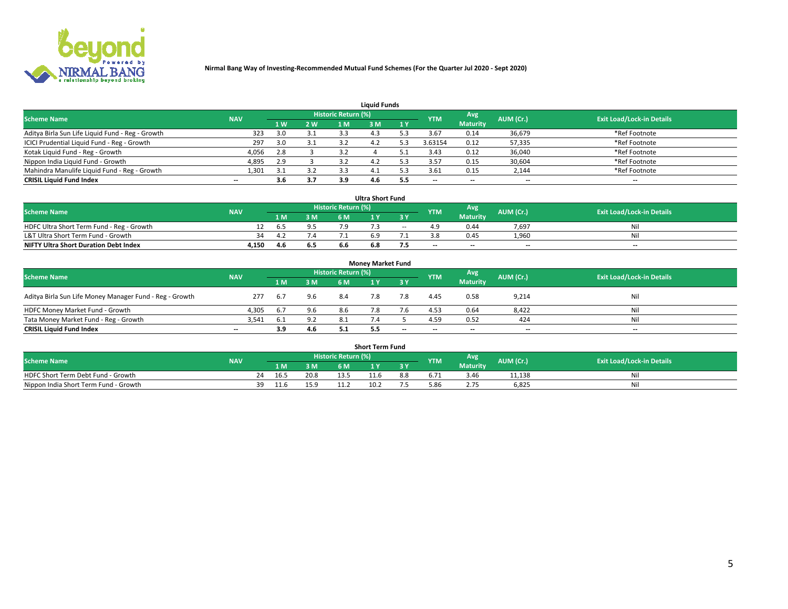

| <b>Liquid Funds</b>                              |            |     |     |                            |      |     |                          |                 |                          |                                  |  |  |  |  |
|--------------------------------------------------|------------|-----|-----|----------------------------|------|-----|--------------------------|-----------------|--------------------------|----------------------------------|--|--|--|--|
| <b>Scheme Name</b>                               | <b>NAV</b> |     |     | <b>Historic Return (%)</b> |      |     | <b>YTM</b>               | Avg             | AUM (Cr.)                | <b>Exit Load/Lock-in Details</b> |  |  |  |  |
|                                                  |            | 1 W | 2 W | 1 M                        | : M  | 1Y  |                          | <b>Maturity</b> |                          |                                  |  |  |  |  |
| Aditya Birla Sun Life Liquid Fund - Reg - Growth | 323        | 3.0 | 3.1 | 3.3                        |      |     | 3.67                     | 0.14            | 36,679                   | *Ref Footnote                    |  |  |  |  |
| ICICI Prudential Liquid Fund - Reg - Growth      | 297        | 3.0 | 3.1 |                            |      |     | 3.63154                  | 0.12            | 57,335                   | *Ref Footnote                    |  |  |  |  |
| Kotak Liquid Fund - Reg - Growth                 | 4,056      | 2.8 |     |                            |      |     | 3.43                     | 0.12            | 36,040                   | *Ref Footnote                    |  |  |  |  |
| Nippon India Liquid Fund - Growth                | 4,895      | 2.9 |     |                            |      |     | 3.57                     | 0.15            | 30,604                   | *Ref Footnote                    |  |  |  |  |
| Mahindra Manulife Liquid Fund - Reg - Growth     | 1,301      | 3.1 | 3.2 |                            | - 4. |     | 3.61                     | 0.15            | 2,144                    | *Ref Footnote                    |  |  |  |  |
| <b>CRISIL Liquid Fund Index</b>                  | $- -$      | 3.6 | 3.7 |                            | 4.O  | 5.5 | $\overline{\phantom{a}}$ | $- -$           | $\overline{\phantom{a}}$ | $\overline{\phantom{m}}$         |  |  |  |  |

| <b>Ultra Short Fund</b>                      |            |      |     |                            |     |        |            |                 |                          |                                  |  |  |  |  |
|----------------------------------------------|------------|------|-----|----------------------------|-----|--------|------------|-----------------|--------------------------|----------------------------------|--|--|--|--|
| <b>Scheme Name</b>                           | <b>NAV</b> |      |     | <b>Historic Return (%)</b> |     |        | <b>YTM</b> | Avg             | AUM (Cr.)                | <b>Exit Load/Lock-in Details</b> |  |  |  |  |
|                                              |            | 1 M. | 3 M | 6 M                        |     | 3 Y    |            | <b>Maturity</b> |                          |                                  |  |  |  |  |
| HDFC Ultra Short Term Fund - Reg - Growth    |            | ר ח  |     |                            |     | $\sim$ |            | 0.44            | 7,697                    | Nil                              |  |  |  |  |
| L&T Ultra Short Term Fund - Growth           | -34        | -4.2 | 7.4 |                            |     |        |            | 0.45            | 1.960                    | Nil                              |  |  |  |  |
| <b>NIFTY Ultra Short Duration Debt Index</b> | 4,150      | 4.6  | 6.5 | b.b                        | 6.8 |        | $- -$      | $- -$           | $\overline{\phantom{a}}$ | $- -$                            |  |  |  |  |

| <b>Money Market Fund</b>                                |            |       |     |                     |  |           |                          |                 |                          |                                  |  |  |  |  |
|---------------------------------------------------------|------------|-------|-----|---------------------|--|-----------|--------------------------|-----------------|--------------------------|----------------------------------|--|--|--|--|
| <b>Scheme Name</b>                                      | <b>NAV</b> |       |     | Historic Return (%) |  |           | <b>YTM</b>               | Avg             | AUM (Cr.)                | <b>Exit Load/Lock-in Details</b> |  |  |  |  |
|                                                         |            | 1 M   | 3 M | 6 M                 |  | <b>3Y</b> |                          | <b>Maturity</b> |                          |                                  |  |  |  |  |
| Aditya Birla Sun Life Money Manager Fund - Reg - Growth | 277        | - 6.7 | 9.6 | 8.4                 |  | 7.8       | 4.45                     | 0.58            | 9,214                    | Nil                              |  |  |  |  |
| HDFC Money Market Fund - Growth                         | 4.305      | -6.7  | 9.6 | 8.6                 |  |           | 4.53                     | 0.64            | 8,422                    | Nil                              |  |  |  |  |
| Tata Money Market Fund - Reg - Growth                   | 3,541      | 6.1   | 9.2 | 8.1                 |  |           | 4.59                     | 0.52            | 424                      | Nil                              |  |  |  |  |
| <b>CRISIL Liquid Fund Index</b>                         | $- -$      | 3.9   | 4.6 |                     |  | $- -$     | $\overline{\phantom{a}}$ | $- -$           | $\overline{\phantom{a}}$ | $- -$                            |  |  |  |  |

|                                       | <b>Short Term Fund</b> |    |      |      |                     |              |     |            |                 |           |                                  |  |  |  |  |
|---------------------------------------|------------------------|----|------|------|---------------------|--------------|-----|------------|-----------------|-----------|----------------------------------|--|--|--|--|
| <b>Scheme Name</b>                    | <b>NAV</b>             |    |      |      | Historic Return (%) |              |     | <b>YTM</b> | Avg             | AUM (Cr.) | <b>Exit Load/Lock-in Details</b> |  |  |  |  |
|                                       |                        |    | LM.  | 3 M  | 6 M.                | $\mathbf{v}$ | 3 Y |            | <b>Maturity</b> |           |                                  |  |  |  |  |
| HDFC Short Term Debt Fund - Growth    |                        | 24 | 16.5 | 20.8 |                     |              | 8.8 |            | 3.46            | 11,138    | M                                |  |  |  |  |
| Nippon India Short Term Fund - Growth |                        | 39 | 11.6 | 15.9 |                     | 10.2         |     |            |                 | 6,825     | N                                |  |  |  |  |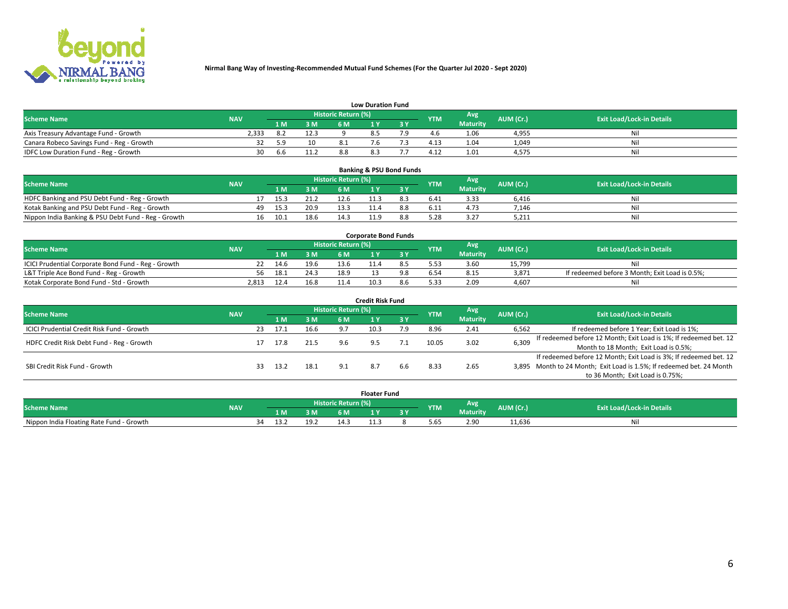

|                                           | <b>Low Duration Fund</b> |      |      |                            |     |  |            |                 |           |                                  |  |  |  |  |  |
|-------------------------------------------|--------------------------|------|------|----------------------------|-----|--|------------|-----------------|-----------|----------------------------------|--|--|--|--|--|
| <b>Scheme Name</b>                        | <b>NAV</b>               |      |      | <b>Historic Return (%)</b> |     |  | <b>YTM</b> | Avg             | AUM (Cr.) | <b>Exit Load/Lock-in Details</b> |  |  |  |  |  |
|                                           |                          | 1 M. | 3 M  |                            |     |  |            | <b>Maturity</b> |           |                                  |  |  |  |  |  |
| Axis Treasury Advantage Fund - Growth     | 2.333                    |      | 12.3 |                            |     |  |            | 1.06            | 4,955     | Nil                              |  |  |  |  |  |
| Canara Robeco Savings Fund - Reg - Growth |                          | 59   | 10   |                            |     |  | 4.13       | 1.04            | 1,049     | Nil                              |  |  |  |  |  |
| IDFC Low Duration Fund - Reg - Growth     | 30                       | 6.6  | 11.2 | 8.8                        | د.ه |  | 4.12       | 1.01            | 4,575     | Nil                              |  |  |  |  |  |

| <b>Banking &amp; PSU Bond Funds</b>                 |            |     |      |      |                     |      |     |            |                 |           |                                  |  |  |  |
|-----------------------------------------------------|------------|-----|------|------|---------------------|------|-----|------------|-----------------|-----------|----------------------------------|--|--|--|
| <b>Scheme Name</b>                                  | <b>NAV</b> |     |      |      | Historic Return (%) |      |     | <b>YTM</b> | Avg             | AUM (Cr.) | <b>Exit Load/Lock-in Details</b> |  |  |  |
|                                                     |            |     | 1 M. | 3 M  | 6 M                 |      |     |            | <b>Maturity</b> |           |                                  |  |  |  |
| HDFC Banking and PSU Debt Fund - Reg - Growth       |            |     | 15.3 | 21.2 | 12.6                | -1.3 | 8.3 | 6.41       | 3.33            | 6.416     | Ni                               |  |  |  |
| Kotak Banking and PSU Debt Fund - Reg - Growth      |            | 49. | 15.3 | 20.9 | 133                 |      | 8.8 | 6.11       | 4.73            | 7.146     | Ni                               |  |  |  |
| Nippon India Banking & PSU Debt Fund - Reg - Growth |            | 16  | 10.1 | 18.6 | 14.3                |      |     |            | 3.27            | 5,211     | Νi                               |  |  |  |

| <b>Corporate Bond Funds</b>                         |            |      |      |                            |      |  |            |                 |           |                                                |  |  |  |  |
|-----------------------------------------------------|------------|------|------|----------------------------|------|--|------------|-----------------|-----------|------------------------------------------------|--|--|--|--|
| <b>Scheme Name</b>                                  | <b>NAV</b> |      |      | <b>Historic Return (%)</b> |      |  | <b>YTM</b> | Avg             | AUM (Cr.) | <b>Exit Load/Lock-in Details</b>               |  |  |  |  |
|                                                     |            |      | 3 M  | 6 M                        |      |  |            | <b>Maturity</b> |           |                                                |  |  |  |  |
| ICICI Prudential Corporate Bond Fund - Reg - Growth |            | 14.6 | 19.6 | 13.6                       |      |  |            | 3.60            | 15.799    | Nil                                            |  |  |  |  |
| L&T Triple Ace Bond Fund - Reg - Growth             | 56         | 18.1 | 24.3 | 18.9                       |      |  |            | 8.15            | 3,871     | If redeemed before 3 Month; Exit Load is 0.5%; |  |  |  |  |
| Kotak Corporate Bond Fund - Std - Growth            | 2.813      | 12.4 | 16.8 | 11.4                       | 10.3 |  | 5.33       | 2.09            | 4.607     | Nil                                            |  |  |  |  |

| Credit Risk Fund                           |            |    |      |      |                            |      |     |            |                 |           |                                                                       |  |  |  |
|--------------------------------------------|------------|----|------|------|----------------------------|------|-----|------------|-----------------|-----------|-----------------------------------------------------------------------|--|--|--|
| <b>Scheme Name</b>                         | <b>NAV</b> |    |      |      | <b>Historic Return (%)</b> |      |     | <b>YTM</b> | <b>Avg</b>      | AUM (Cr.) | <b>Exit Load/Lock-in Details</b>                                      |  |  |  |
|                                            |            |    | 1 M  | 3 M  | 6 M                        |      | 3 Y |            | <b>Maturity</b> |           |                                                                       |  |  |  |
| ICICI Prudential Credit Risk Fund - Growth |            | 23 | 17.1 | 16.6 | 9.7                        | 10.3 | 7.9 | 8.96       | 2.41            | 6,562     | If redeemed before 1 Year; Exit Load is 1%;                           |  |  |  |
| HDFC Credit Risk Debt Fund - Reg - Growth  |            |    | 17.8 | 21.5 |                            |      |     | 10.05      | 3.02            | 6,309     | If redeemed before 12 Month; Exit Load is 1%; If redeemed bet. 12     |  |  |  |
|                                            |            |    |      |      |                            |      |     |            |                 |           | Month to 18 Month; Exit Load is 0.5%;                                 |  |  |  |
|                                            |            |    |      |      |                            |      |     |            |                 |           | If redeemed before 12 Month; Exit Load is 3%; If redeemed bet. 12     |  |  |  |
| SBI Credit Risk Fund - Growth              |            | 33 | 13.2 | 18.1 | 9.1                        |      | 6.6 | 8.33       | 2.65            |           | 3,895 Month to 24 Month; Exit Load is 1.5%; If redeemed bet. 24 Month |  |  |  |
|                                            |            |    |      |      |                            |      |     |            |                 |           | to 36 Month; Exit Load is 0.75%;                                      |  |  |  |

| <b>Floater Fund</b>                      |            |    |      |      |                       |   |   |            |                 |           |                                  |
|------------------------------------------|------------|----|------|------|-----------------------|---|---|------------|-----------------|-----------|----------------------------------|
| <b>Scheme Name</b>                       | <b>NAV</b> |    |      |      | Historic Return (%) \ |   |   | <b>YTM</b> | Avg             | AUM (Cr.) | <b>Exit Load/Lock-in Details</b> |
|                                          |            |    | 1 M  | ЗM   | 6 M                   | . | . |            | <b>Maturity</b> |           |                                  |
| Nippon India Floating Rate Fund - Growth |            | 34 | ے. ب | 19.7 | 14.                   |   |   | 5.65       | 2.90            | 11,636    | NL                               |